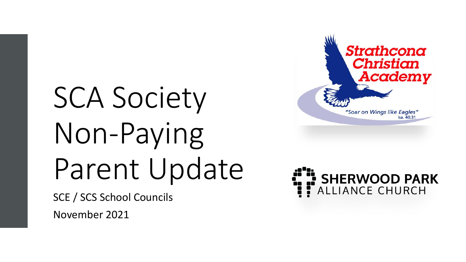# SCA Society Non-Paying Parent Update

SCE / SCS School Councils November 2021



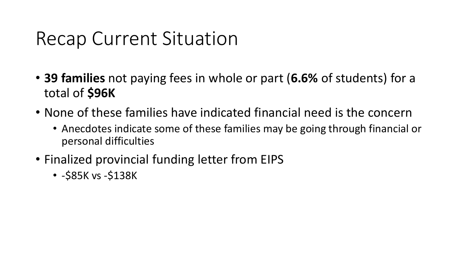#### Recap Current Situation

- **39 families** not paying fees in whole or part (**6.6%** of students) for a total of **\$96K**
- None of these families have indicated financial need is the concern
	- Anecdotes indicate some of these families may be going through financial or personal difficulties
- Finalized provincial funding letter from EIPS
	- -\$85K vs -\$138K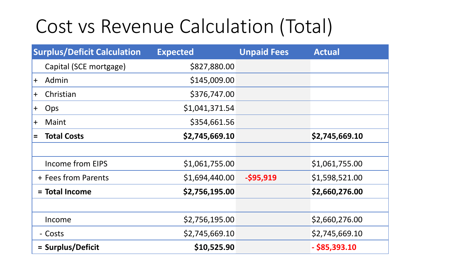## Cost vs Revenue Calculation (Total)

| <b>Surplus/Deficit Calculation</b> | <b>Expected</b> | <b>Unpaid Fees</b> | <b>Actual</b>   |
|------------------------------------|-----------------|--------------------|-----------------|
| Capital (SCE mortgage)             | \$827,880.00    |                    |                 |
| Admin<br>$+$                       | \$145,009.00    |                    |                 |
| Christian<br>$\mathbf +$           | \$376,747.00    |                    |                 |
| Ops<br>$\ddag$                     | \$1,041,371.54  |                    |                 |
| Maint<br>$\bm{+}$                  | \$354,661.56    |                    |                 |
| <b>Total Costs</b><br>$\equiv$     | \$2,745,669.10  |                    | \$2,745,669.10  |
|                                    |                 |                    |                 |
| Income from EIPS                   | \$1,061,755.00  |                    | \$1,061,755.00  |
| + Fees from Parents                | \$1,694,440.00  | $-$ \$95,919       | \$1,598,521.00  |
| = Total Income                     | \$2,756,195.00  |                    | \$2,660,276.00  |
|                                    |                 |                    |                 |
| Income                             | \$2,756,195.00  |                    | \$2,660,276.00  |
| - Costs                            | \$2,745,669.10  |                    | \$2,745,669.10  |
| = Surplus/Deficit                  | \$10,525.90     |                    | $-$ \$85,393.10 |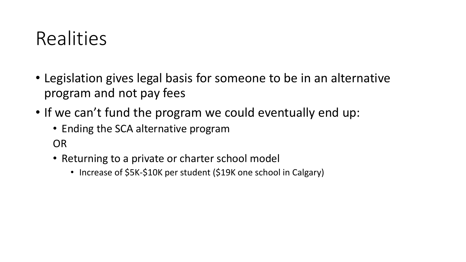#### **Realities**

- Legislation gives legal basis for someone to be in an alternative program and not pay fees
- If we can't fund the program we could eventually end up:
	- Ending the SCA alternative program

OR

- Returning to a private or charter school model
	- Increase of \$5K-\$10K per student (\$19K one school in Calgary)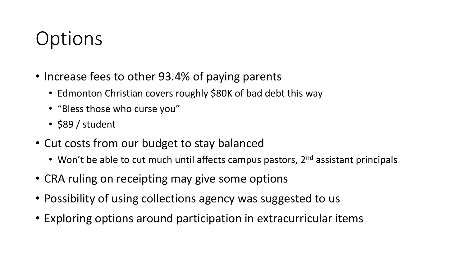# **Options**

- Increase fees to other 93.4% of paying parents
	- Edmonton Christian covers roughly \$80K of bad debt this way
	- "Bless those who curse you"
	- \$89 / student
- Cut costs from our budget to stay balanced
	- Won't be able to cut much until affects campus pastors, 2<sup>nd</sup> assistant principals
- CRA ruling on receipting may give some options
- Possibility of using collections agency was suggested to us
- Exploring options around participation in extracurricular items